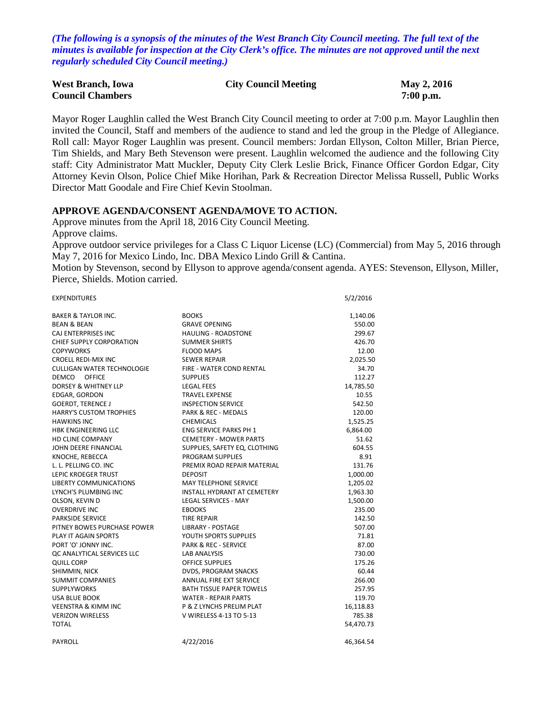*(The following is a synopsis of the minutes of the West Branch City Council meeting. The full text of the minutes is available for inspection at the City Clerk's office. The minutes are not approved until the next regularly scheduled City Council meeting.)*

| <b>West Branch, Iowa</b> | <b>City Council Meeting</b> | May 2, 2016 |
|--------------------------|-----------------------------|-------------|
| <b>Council Chambers</b>  |                             | $7:00$ p.m. |

Mayor Roger Laughlin called the West Branch City Council meeting to order at 7:00 p.m. Mayor Laughlin then invited the Council, Staff and members of the audience to stand and led the group in the Pledge of Allegiance. Roll call: Mayor Roger Laughlin was present. Council members: Jordan Ellyson, Colton Miller, Brian Pierce, Tim Shields, and Mary Beth Stevenson were present. Laughlin welcomed the audience and the following City staff: City Administrator Matt Muckler, Deputy City Clerk Leslie Brick, Finance Officer Gordon Edgar, City Attorney Kevin Olson, Police Chief Mike Horihan, Park & Recreation Director Melissa Russell, Public Works Director Matt Goodale and Fire Chief Kevin Stoolman.

### **APPROVE AGENDA/CONSENT AGENDA/MOVE TO ACTION.**

Approve minutes from the April 18, 2016 City Council Meeting.

Approve claims.

Approve outdoor service privileges for a Class C Liquor License (LC) (Commercial) from May 5, 2016 through May 7, 2016 for Mexico Lindo, Inc. DBA Mexico Lindo Grill & Cantina.

Motion by Stevenson, second by Ellyson to approve agenda/consent agenda. AYES: Stevenson, Ellyson, Miller, Pierce, Shields. Motion carried.

EXPENDITURES 5/2/2016

| <b>BAKER &amp; TAYLOR INC.</b>    | <b>BOOKS</b>                    | 1,140.06  |
|-----------------------------------|---------------------------------|-----------|
| <b>BEAN &amp; BEAN</b>            | <b>GRAVE OPENING</b>            | 550.00    |
| CAJ ENTERPRISES INC               | <b>HAULING - ROADSTONE</b>      | 299.67    |
| CHIEF SUPPLY CORPORATION          | <b>SUMMER SHIRTS</b>            | 426.70    |
| <b>COPYWORKS</b>                  | <b>FLOOD MAPS</b>               | 12.00     |
| <b>CROELL REDI-MIX INC</b>        | <b>SEWER REPAIR</b>             | 2,025.50  |
| <b>CULLIGAN WATER TECHNOLOGIE</b> | FIRE - WATER COND RENTAL        | 34.70     |
| DEMCO OFFICE                      | <b>SUPPLIES</b>                 | 112.27    |
| DORSEY & WHITNEY LLP              | <b>LEGAL FEES</b>               | 14,785.50 |
| EDGAR, GORDON                     | <b>TRAVEL EXPENSE</b>           | 10.55     |
| <b>GOERDT, TERENCE J</b>          | <b>INSPECTION SERVICE</b>       | 542.50    |
| <b>HARRY'S CUSTOM TROPHIES</b>    | PARK & REC - MEDALS             | 120.00    |
| <b>HAWKINS INC</b>                | <b>CHEMICALS</b>                | 1,525.25  |
| <b>HBK ENGINEERING LLC</b>        | <b>ENG SERVICE PARKS PH 1</b>   | 6,864.00  |
| <b>HD CLINE COMPANY</b>           | <b>CEMETERY - MOWER PARTS</b>   | 51.62     |
| JOHN DEERE FINANCIAL              | SUPPLIES, SAFETY EQ, CLOTHING   | 604.55    |
| KNOCHE, REBECCA                   | PROGRAM SUPPLIES                | 8.91      |
| L. L. PELLING CO. INC             | PREMIX ROAD REPAIR MATERIAL     | 131.76    |
| <b>LEPIC KROEGER TRUST</b>        | <b>DEPOSIT</b>                  | 1,000.00  |
| <b>LIBERTY COMMUNICATIONS</b>     | <b>MAY TELEPHONE SERVICE</b>    | 1,205.02  |
| LYNCH'S PLUMBING INC              | INSTALL HYDRANT AT CEMETERY     | 1,963.30  |
| OLSON, KEVIN D                    | <b>LEGAL SERVICES - MAY</b>     | 1,500.00  |
| <b>OVERDRIVE INC</b>              | <b>EBOOKS</b>                   | 235.00    |
| PARKSIDE SERVICE                  | <b>TIRE REPAIR</b>              | 142.50    |
| PITNEY BOWES PURCHASE POWER       | LIBRARY - POSTAGE               | 507.00    |
| <b>PLAY IT AGAIN SPORTS</b>       | YOUTH SPORTS SUPPLIES           | 71.81     |
| PORT 'O' JONNY INC.               | <b>PARK &amp; REC - SERVICE</b> | 87.00     |
| OC ANALYTICAL SERVICES LLC        | <b>LAB ANALYSIS</b>             | 730.00    |
| <b>QUILL CORP</b>                 | <b>OFFICE SUPPLIES</b>          | 175.26    |
| SHIMMIN, NICK                     | DVDS, PROGRAM SNACKS            | 60.44     |
| <b>SUMMIT COMPANIES</b>           | <b>ANNUAL FIRE EXT SERVICE</b>  | 266.00    |
| <b>SUPPLYWORKS</b>                | <b>BATH TISSUE PAPER TOWELS</b> | 257.95    |
| <b>USA BLUE BOOK</b>              | <b>WATER - REPAIR PARTS</b>     | 119.70    |
| <b>VEENSTRA &amp; KIMM INC</b>    | P & Z LYNCHS PRELIM PLAT        | 16,118.83 |
| <b>VERIZON WIRELESS</b>           | V WIRELESS 4-13 TO 5-13         | 785.38    |
| <b>TOTAL</b>                      |                                 | 54,470.73 |
| PAYROLL                           | 4/22/2016                       | 46,364.54 |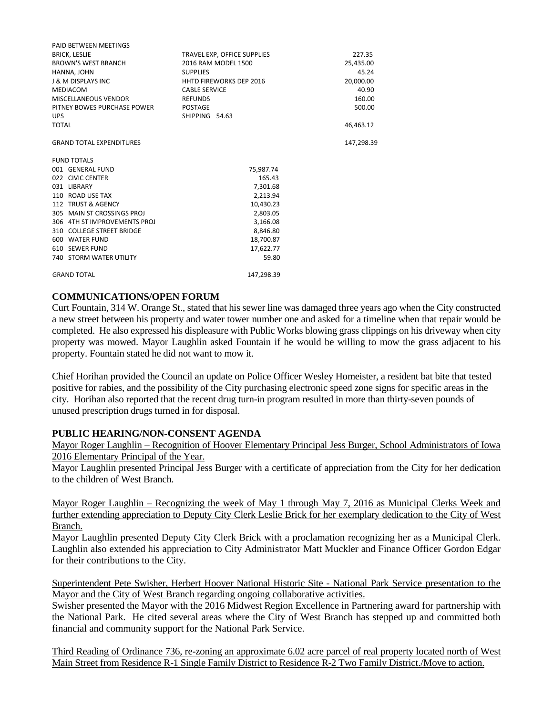| PAID BETWEEN MEETINGS           |                                |            |
|---------------------------------|--------------------------------|------------|
| <b>BRICK, LESLIE</b>            | TRAVEL EXP, OFFICE SUPPLIES    | 227.35     |
| <b>BROWN'S WEST BRANCH</b>      | 2016 RAM MODEL 1500            | 25,435.00  |
| HANNA, JOHN                     | <b>SUPPLIES</b>                | 45.24      |
| <b>J &amp; M DISPLAYS INC</b>   | <b>HHTD FIREWORKS DEP 2016</b> | 20,000.00  |
| <b>MEDIACOM</b>                 | <b>CABLE SERVICE</b>           | 40.90      |
| MISCELLANEOUS VENDOR            | <b>REFUNDS</b>                 | 160.00     |
| PITNEY BOWES PURCHASE POWER     | <b>POSTAGE</b>                 | 500.00     |
| <b>UPS</b>                      | SHIPPING 54.63                 |            |
| <b>TOTAL</b>                    |                                | 46,463.12  |
|                                 |                                |            |
| <b>GRAND TOTAL EXPENDITURES</b> |                                | 147,298.39 |
| <b>FUND TOTALS</b>              |                                |            |
| 001 GENERAL FUND                | 75,987.74                      |            |
| 022 CIVIC CENTER                | 165.43                         |            |
| 031 LIBRARY                     | 7,301.68                       |            |
| 110 ROAD USE TAX                | 2,213.94                       |            |
| 112 TRUST & AGENCY              | 10,430.23                      |            |
| 305 MAIN ST CROSSINGS PROJ      | 2,803.05                       |            |
| 306 4TH ST IMPROVEMENTS PROJ    | 3,166.08                       |            |
| 310 COLLEGE STREET BRIDGE       | 8.846.80                       |            |
| 600 WATER FUND                  | 18,700.87                      |            |
| 610 SEWER FUND                  | 17,622.77                      |            |
| <b>740 STORM WATER UTILITY</b>  | 59.80                          |            |
| <b>GRAND TOTAL</b>              | 147.298.39                     |            |
|                                 |                                |            |

### **COMMUNICATIONS/OPEN FORUM**

Curt Fountain, 314 W. Orange St., stated that his sewer line was damaged three years ago when the City constructed a new street between his property and water tower number one and asked for a timeline when that repair would be completed. He also expressed his displeasure with Public Works blowing grass clippings on his driveway when city property was mowed. Mayor Laughlin asked Fountain if he would be willing to mow the grass adjacent to his property. Fountain stated he did not want to mow it.

Chief Horihan provided the Council an update on Police Officer Wesley Homeister, a resident bat bite that tested positive for rabies, and the possibility of the City purchasing electronic speed zone signs for specific areas in the city. Horihan also reported that the recent drug turn-in program resulted in more than thirty-seven pounds of unused prescription drugs turned in for disposal.

### **PUBLIC HEARING/NON-CONSENT AGENDA**

Mayor Roger Laughlin – Recognition of Hoover Elementary Principal Jess Burger, School Administrators of Iowa 2016 Elementary Principal of the Year.

Mayor Laughlin presented Principal Jess Burger with a certificate of appreciation from the City for her dedication to the children of West Branch.

Mayor Roger Laughlin – Recognizing the week of May 1 through May 7, 2016 as Municipal Clerks Week and further extending appreciation to Deputy City Clerk Leslie Brick for her exemplary dedication to the City of West Branch.

Mayor Laughlin presented Deputy City Clerk Brick with a proclamation recognizing her as a Municipal Clerk. Laughlin also extended his appreciation to City Administrator Matt Muckler and Finance Officer Gordon Edgar for their contributions to the City.

Superintendent Pete Swisher, Herbert Hoover National Historic Site - National Park Service presentation to the Mayor and the City of West Branch regarding ongoing collaborative activities.

Swisher presented the Mayor with the 2016 Midwest Region Excellence in Partnering award for partnership with the National Park. He cited several areas where the City of West Branch has stepped up and committed both financial and community support for the National Park Service.

Third Reading of Ordinance 736, re-zoning an approximate 6.02 acre parcel of real property located north of West Main Street from Residence R-1 Single Family District to Residence R-2 Two Family District./Move to action.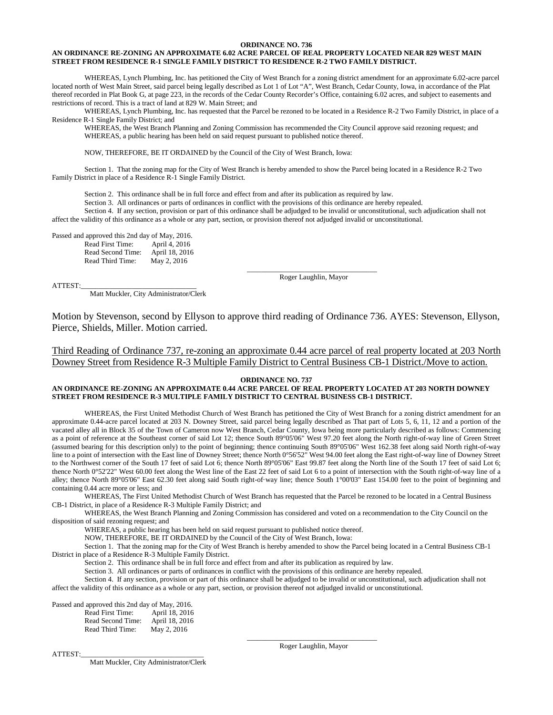#### **ORDINANCE NO. 736**

#### **AN ORDINANCE RE-ZONING AN APPROXIMATE 6.02 ACRE PARCEL OF REAL PROPERTY LOCATED NEAR 829 WEST MAIN STREET FROM RESIDENCE R-1 SINGLE FAMILY DISTRICT TO RESIDENCE R-2 TWO FAMILY DISTRICT.**

WHEREAS, Lynch Plumbing, Inc. has petitioned the City of West Branch for a zoning district amendment for an approximate 6.02-acre parcel located north of West Main Street, said parcel being legally described as Lot 1 of Lot "A", West Branch, Cedar County, Iowa, in accordance of the Plat thereof recorded in Plat Book G, at page 223, in the records of the Cedar County Recorder's Office, containing 6.02 acres, and subject to easements and restrictions of record. This is a tract of land at 829 W. Main Street; and

WHEREAS, Lynch Plumbing, Inc. has requested that the Parcel be rezoned to be located in a Residence R-2 Two Family District, in place of a Residence R-1 Single Family District; and

WHEREAS, the West Branch Planning and Zoning Commission has recommended the City Council approve said rezoning request; and WHEREAS, a public hearing has been held on said request pursuant to published notice thereof.

NOW, THEREFORE, BE IT ORDAINED by the Council of the City of West Branch, Iowa:

Section 1. That the zoning map for the City of West Branch is hereby amended to show the Parcel being located in a Residence R-2 Two Family District in place of a Residence R-1 Single Family District.

Section 2. This ordinance shall be in full force and effect from and after its publication as required by law.

Section 3. All ordinances or parts of ordinances in conflict with the provisions of this ordinance are hereby repealed.

Section 4. If any section, provision or part of this ordinance shall be adjudged to be invalid or unconstitutional, such adjudication shall not affect the validity of this ordinance as a whole or any part, section, or provision thereof not adjudged invalid or unconstitutional.

| Passed and approved this 2nd day of May, 2016. |                |
|------------------------------------------------|----------------|
| Read First Time:                               | April 4, 2016  |
| Read Second Time:                              | April 18, 2016 |
| Read Third Time:                               | May 2, 2016    |

ATTEST:\_\_\_\_\_\_\_\_\_\_\_\_\_\_\_\_\_\_\_\_\_\_\_\_\_\_\_\_\_\_\_\_

Matt Muckler, City Administrator/Clerk

\_\_\_\_\_\_\_\_\_\_\_\_\_\_\_\_\_\_\_\_\_\_\_\_\_\_\_\_\_\_\_\_\_\_\_\_ Roger Laughlin, Mayor

Motion by Stevenson, second by Ellyson to approve third reading of Ordinance 736. AYES: Stevenson, Ellyson, Pierce, Shields, Miller. Motion carried.

Third Reading of Ordinance 737, re-zoning an approximate 0.44 acre parcel of real property located at 203 North Downey Street from Residence R-3 Multiple Family District to Central Business CB-1 District./Move to action.

#### **ORDINANCE NO. 737**

### **AN ORDINANCE RE-ZONING AN APPROXIMATE 0.44 ACRE PARCEL OF REAL PROPERTY LOCATED AT 203 NORTH DOWNEY STREET FROM RESIDENCE R-3 MULTIPLE FAMILY DISTRICT TO CENTRAL BUSINESS CB-1 DISTRICT.**

WHEREAS, the First United Methodist Church of West Branch has petitioned the City of West Branch for a zoning district amendment for an approximate 0.44-acre parcel located at 203 N. Downey Street, said parcel being legally described as That part of Lots 5, 6, 11, 12 and a portion of the vacated alley all in Block 35 of the Town of Cameron now West Branch, Cedar County, Iowa being more particularly described as follows: Commencing as a point of reference at the Southeast corner of said Lot 12; thence South 89°05'06" West 97.20 feet along the North right-of-way line of Green Street (assumed bearing for this description only) to the point of beginning; thence continuing South 89°05'06" West 162.38 feet along said North right-of-way line to a point of intersection with the East line of Downey Street; thence North 0°56'52" West 94.00 feet along the East right-of-way line of Downey Street to the Northwest corner of the South 17 feet of said Lot 6; thence North 89°05'06" East 99.87 feet along the North line of the South 17 feet of said Lot 6; thence North 0°52'22" West 60.00 feet along the West line of the East 22 feet of said Lot 6 to a point of intersection with the South right-of-way line of a alley; thence North 89°05'06" East 62.30 feet along said South right-of·way line; thence South 1°00'03" East 154.00 feet to the point of beginning and containing 0.44 acre more or less; and

WHEREAS, The First United Methodist Church of West Branch has requested that the Parcel be rezoned to be located in a Central Business CB-1 District, in place of a Residence R-3 Multiple Family District; and

WHEREAS, the West Branch Planning and Zoning Commission has considered and voted on a recommendation to the City Council on the disposition of said rezoning request; and

WHEREAS, a public hearing has been held on said request pursuant to published notice thereof.

NOW, THEREFORE, BE IT ORDAINED by the Council of the City of West Branch, Iowa:

Section 1. That the zoning map for the City of West Branch is hereby amended to show the Parcel being located in a Central Business CB-1 District in place of a Residence R-3 Multiple Family District.

Section 2. This ordinance shall be in full force and effect from and after its publication as required by law.

Section 3. All ordinances or parts of ordinances in conflict with the provisions of this ordinance are hereby repealed.

Section 4. If any section, provision or part of this ordinance shall be adjudged to be invalid or unconstitutional, such adjudication shall not

affect the validity of this ordinance as a whole or any part, section, or provision thereof not adjudged invalid or unconstitutional.

Passed and approved this 2nd day of May, 2016. Read First Time: April 18, 2016<br>Read Second Time: April 18, 2016 Read Second Time: April 18, 201<br>Read Third Time: May 2, 2016 Read Third Time:

ATTEST:

Matt Muckler, City Administrator/Clerk

\_\_\_\_\_\_\_\_\_\_\_\_\_\_\_\_\_\_\_\_\_\_\_\_\_\_\_\_\_\_\_\_\_\_\_\_ Roger Laughlin, Mayor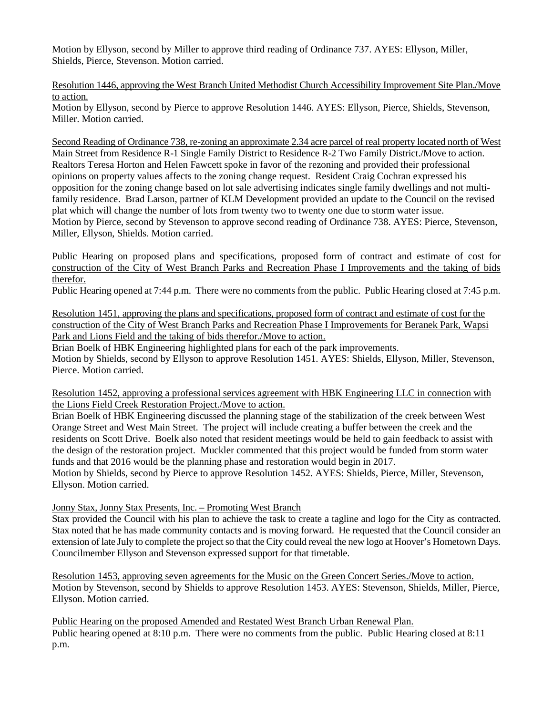Motion by Ellyson, second by Miller to approve third reading of Ordinance 737. AYES: Ellyson, Miller, Shields, Pierce, Stevenson. Motion carried.

Resolution 1446, approving the West Branch United Methodist Church Accessibility Improvement Site Plan./Move to action.

Motion by Ellyson, second by Pierce to approve Resolution 1446. AYES: Ellyson, Pierce, Shields, Stevenson, Miller. Motion carried.

Second Reading of Ordinance 738, re-zoning an approximate 2.34 acre parcel of real property located north of West Main Street from Residence R-1 Single Family District to Residence R-2 Two Family District./Move to action. Realtors Teresa Horton and Helen Fawcett spoke in favor of the rezoning and provided their professional opinions on property values affects to the zoning change request. Resident Craig Cochran expressed his opposition for the zoning change based on lot sale advertising indicates single family dwellings and not multifamily residence. Brad Larson, partner of KLM Development provided an update to the Council on the revised plat which will change the number of lots from twenty two to twenty one due to storm water issue. Motion by Pierce, second by Stevenson to approve second reading of Ordinance 738. AYES: Pierce, Stevenson, Miller, Ellyson, Shields. Motion carried.

Public Hearing on proposed plans and specifications, proposed form of contract and estimate of cost for construction of the City of West Branch Parks and Recreation Phase I Improvements and the taking of bids therefor.

Public Hearing opened at 7:44 p.m. There were no comments from the public. Public Hearing closed at 7:45 p.m.

Resolution 1451, approving the plans and specifications, proposed form of contract and estimate of cost for the construction of the City of West Branch Parks and Recreation Phase I Improvements for Beranek Park, Wapsi Park and Lions Field and the taking of bids therefor./Move to action.

Brian Boelk of HBK Engineering highlighted plans for each of the park improvements. Motion by Shields, second by Ellyson to approve Resolution 1451. AYES: Shields, Ellyson, Miller, Stevenson, Pierce. Motion carried.

Resolution 1452, approving a professional services agreement with HBK Engineering LLC in connection with the Lions Field Creek Restoration Project./Move to action.

Brian Boelk of HBK Engineering discussed the planning stage of the stabilization of the creek between West Orange Street and West Main Street. The project will include creating a buffer between the creek and the residents on Scott Drive. Boelk also noted that resident meetings would be held to gain feedback to assist with the design of the restoration project. Muckler commented that this project would be funded from storm water funds and that 2016 would be the planning phase and restoration would begin in 2017.

Motion by Shields, second by Pierce to approve Resolution 1452. AYES: Shields, Pierce, Miller, Stevenson, Ellyson. Motion carried.

Jonny Stax, Jonny Stax Presents, Inc. – Promoting West Branch

Stax provided the Council with his plan to achieve the task to create a tagline and logo for the City as contracted. Stax noted that he has made community contacts and is moving forward. He requested that the Council consider an extension of late July to complete the project so that the City could reveal the new logo at Hoover's Hometown Days. Councilmember Ellyson and Stevenson expressed support for that timetable.

Resolution 1453, approving seven agreements for the Music on the Green Concert Series./Move to action. Motion by Stevenson, second by Shields to approve Resolution 1453. AYES: Stevenson, Shields, Miller, Pierce, Ellyson. Motion carried.

Public Hearing on the proposed Amended and Restated West Branch Urban Renewal Plan. Public hearing opened at 8:10 p.m. There were no comments from the public. Public Hearing closed at 8:11 p.m.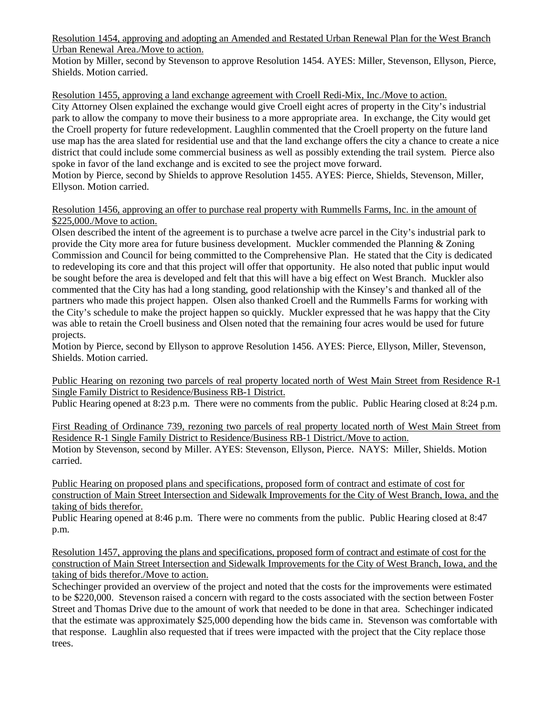Resolution 1454, approving and adopting an Amended and Restated Urban Renewal Plan for the West Branch Urban Renewal Area./Move to action.

Motion by Miller, second by Stevenson to approve Resolution 1454. AYES: Miller, Stevenson, Ellyson, Pierce, Shields. Motion carried.

Resolution 1455, approving a land exchange agreement with Croell Redi-Mix, Inc./Move to action. City Attorney Olsen explained the exchange would give Croell eight acres of property in the City's industrial park to allow the company to move their business to a more appropriate area. In exchange, the City would get the Croell property for future redevelopment. Laughlin commented that the Croell property on the future land use map has the area slated for residential use and that the land exchange offers the city a chance to create a nice district that could include some commercial business as well as possibly extending the trail system. Pierce also spoke in favor of the land exchange and is excited to see the project move forward.

Motion by Pierce, second by Shields to approve Resolution 1455. AYES: Pierce, Shields, Stevenson, Miller, Ellyson. Motion carried.

## Resolution 1456, approving an offer to purchase real property with Rummells Farms, Inc. in the amount of \$225,000./Move to action.

Olsen described the intent of the agreement is to purchase a twelve acre parcel in the City's industrial park to provide the City more area for future business development. Muckler commended the Planning & Zoning Commission and Council for being committed to the Comprehensive Plan. He stated that the City is dedicated to redeveloping its core and that this project will offer that opportunity. He also noted that public input would be sought before the area is developed and felt that this will have a big effect on West Branch. Muckler also commented that the City has had a long standing, good relationship with the Kinsey's and thanked all of the partners who made this project happen. Olsen also thanked Croell and the Rummells Farms for working with the City's schedule to make the project happen so quickly. Muckler expressed that he was happy that the City was able to retain the Croell business and Olsen noted that the remaining four acres would be used for future projects.

Motion by Pierce, second by Ellyson to approve Resolution 1456. AYES: Pierce, Ellyson, Miller, Stevenson, Shields. Motion carried.

Public Hearing on rezoning two parcels of real property located north of West Main Street from Residence R-1 Single Family District to Residence/Business RB-1 District.

Public Hearing opened at 8:23 p.m. There were no comments from the public. Public Hearing closed at 8:24 p.m.

First Reading of Ordinance 739, rezoning two parcels of real property located north of West Main Street from Residence R-1 Single Family District to Residence/Business RB-1 District./Move to action. Motion by Stevenson, second by Miller. AYES: Stevenson, Ellyson, Pierce. NAYS: Miller, Shields. Motion carried.

Public Hearing on proposed plans and specifications, proposed form of contract and estimate of cost for construction of Main Street Intersection and Sidewalk Improvements for the City of West Branch, Iowa, and the taking of bids therefor.

Public Hearing opened at 8:46 p.m. There were no comments from the public. Public Hearing closed at 8:47 p.m.

Resolution 1457, approving the plans and specifications, proposed form of contract and estimate of cost for the construction of Main Street Intersection and Sidewalk Improvements for the City of West Branch, Iowa, and the taking of bids therefor./Move to action.

Schechinger provided an overview of the project and noted that the costs for the improvements were estimated to be \$220,000. Stevenson raised a concern with regard to the costs associated with the section between Foster Street and Thomas Drive due to the amount of work that needed to be done in that area. Schechinger indicated that the estimate was approximately \$25,000 depending how the bids came in. Stevenson was comfortable with that response. Laughlin also requested that if trees were impacted with the project that the City replace those trees.